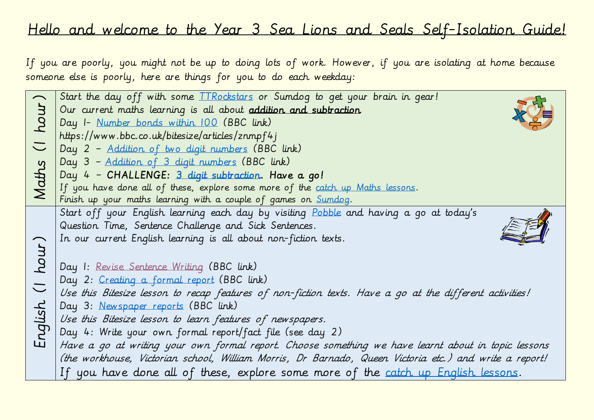## Hello and welcome to the Year 3 Sea Lions and Seals Self-Isolation Guide!

If you are poorly, you might not be up to doing lots of work. However, if you are isolating at home because someone else is poorly, here are things for you to do each weekday:

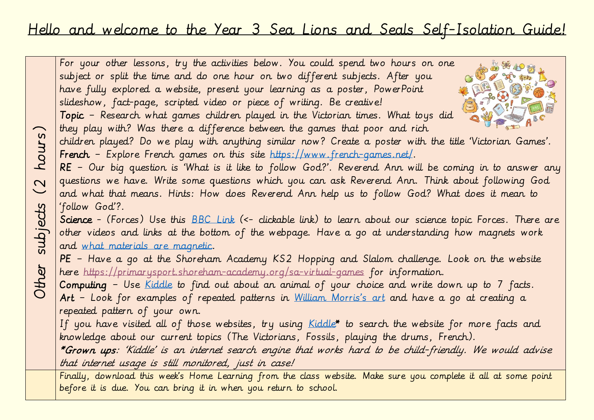## Hello and welcome to the Year 3 Sea Lions and Seals Self-Isolation Guide!

For your other lessons, try the activities below. You could spend two hours on one subject or split the time and do one hour on two different subjects. After you have fully explored a website, present your learning as a poster, PowerPoint slideshow, fact-page, scripted video or piece of writing. Be creative! Topic – Research what games children played in the Victorian times. What toys did they play with? Was there a difference between the games that poor and rich Other subjects (2 hours) children played? Do we play with anything similar now? Create a poster with the title 'Victorian Games'. French – Explore French games on this site [https://www.french-games.net/.](https://www.french-games.net/) RE – Our big question is 'What is it like to follow God?'. Reverend Ann will be coming in to answer any questions we have. Write some questions which you can ask Reverend Ann. Think about following God and what that means. Hints: How does Reverend Ann help us to follow God? What does it mean to subjects 'follow God'?. Science - (Forces) Use this **BBC Link** (<- clickable link) to learn about our science topic Forces. There are other videos and links at the bottom of the webpage. Have a go at understanding how magnets work and [what materials are magnetic.](https://www.bbc.co.uk/bitesize/topics/zyttyrd/articles/zw889qt) PE – Have a go at the Shoreham Academy KS2 Hopping and Slalom challenge. Look on the website here<https://primarysport.shoreham-academy.org/sa-virtual-games> for information. Computing – Use [Kiddle](https://www.kiddle.co/) to find out about an animal of your choice and write down up to 7 facts. Art - Look for examples of repeated patterns in [William Morris's art](https://www.google.co.uk/search?q=arts+and+craft+william+morris&safe=strict&source=lnms&tbm=isch&sa=X&ved=2ahUKEwjug_fXkJPsAhXNRBUIHS0SAh8Q_AUoAXoECA8QAw&biw=1024&bih=1137) and have a go at creating a repeated pattern of your own. If you have visited all of those websites, try using [Kiddle\\*](https://www.kiddle.co/) to search the website for more facts and knowledge about our current topics (The Victorians, Fossils, playing the drums, French). \*Grown ups: 'Kiddle' is an internet search engine that works hard to be child-friendly. We would advise that internet usage is still monitored, just in case! Finally, download this week's Home Learning from the class website. Make sure you complete it all at some point

before it is due. You can bring it in when you return to school.

hours)

 $\overline{C}$ 

Other